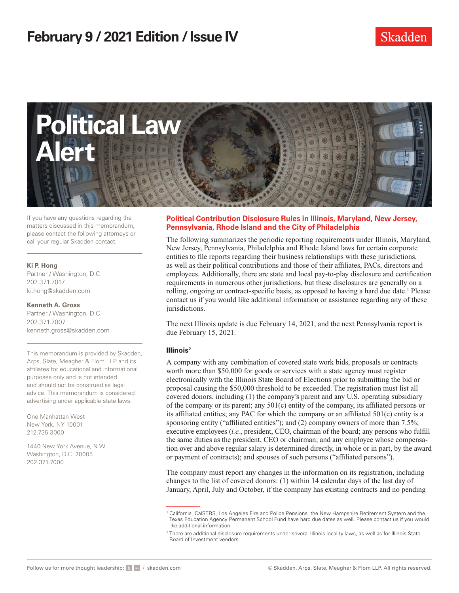

If you have any questions regarding the matters discussed in this memorandum, please contact the following attorneys or call your regular Skadden contact.

#### **Ki P. Hong**

Partner / Washington, D.C. 202.371.7017 ki.hong@skadden.com

**Kenneth A. Gross** Partner / Washington, D.C. 202.371.7007 kenneth.gross@skadden.com

This memorandum is provided by Skadden, Arps, Slate, Meagher & Flom LLP and its affiliates for educational and informational purposes only and is not intended and should not be construed as legal advice. This memorandum is considered advertising under applicable state laws.

One Manhattan West New York, NY 10001 212.735.3000

1440 New York Avenue, N.W. Washington, D.C. 20005 202.371.7000

### **Political Contribution Disclosure Rules in Illinois, Maryland, New Jersey, Pennsylvania, Rhode Island and the City of Philadelphia**

The following summarizes the periodic reporting requirements under Illinois, Maryland, New Jersey, Pennsylvania, Philadelphia and Rhode Island laws for certain corporate entities to file reports regarding their business relationships with these jurisdictions, as well as their political contributions and those of their affiliates, PACs, directors and employees. Additionally, there are state and local pay-to-play disclosure and certification requirements in numerous other jurisdictions, but these disclosures are generally on a rolling, ongoing or contract-specific basis, as opposed to having a hard due date.<sup>1</sup> Please contact us if you would like additional information or assistance regarding any of these jurisdictions.

The next Illinois update is due February 14, 2021, and the next Pennsylvania report is due February 15, 2021.

## **Illinois2**

A company with any combination of covered state work bids, proposals or contracts worth more than \$50,000 for goods or services with a state agency must register electronically with the Illinois State Board of Elections prior to submitting the bid or proposal causing the \$50,000 threshold to be exceeded. The registration must list all covered donors, including (1) the company's parent and any U.S. operating subsidiary of the company or its parent; any 501(c) entity of the company, its affiliated persons or its affiliated entities; any PAC for which the company or an affiliated 501(c) entity is a sponsoring entity ("affiliated entities"); and (2) company owners of more than 7.5%; executive employees (*i.e.*, president, CEO, chairman of the board; any persons who fulfill the same duties as the president, CEO or chairman; and any employee whose compensation over and above regular salary is determined directly, in whole or in part, by the award or payment of contracts); and spouses of such persons ("affiliated persons").

The company must report any changes in the information on its registration, including changes to the list of covered donors: (1) within 14 calendar days of the last day of January, April, July and October, if the company has existing contracts and no pending

<sup>1</sup> California, CalSTRS, Los Angeles Fire and Police Pensions, the New Hampshire Retirement System and the Texas Education Agency Permanent School Fund have hard due dates as well. Please contact us if you would like additional information.

 $2$  There are additional disclosure requirements under several Illinois locality laws, as well as for Illinois State Board of Investment vendors.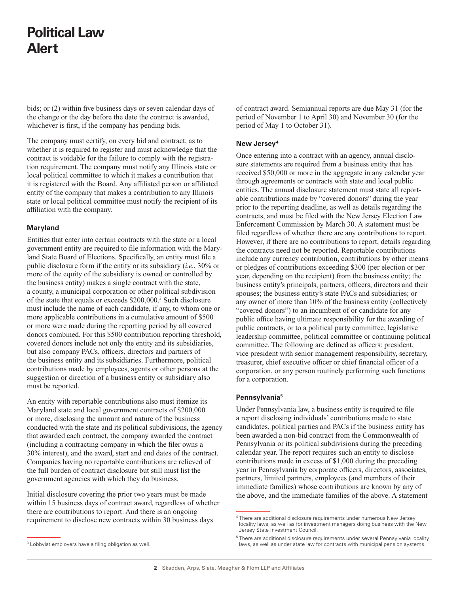# **Political Law Alert**

bids; or (2) within five business days or seven calendar days of the change or the day before the date the contract is awarded, whichever is first, if the company has pending bids.

The company must certify, on every bid and contract, as to whether it is required to register and must acknowledge that the contract is voidable for the failure to comply with the registration requirement. The company must notify any Illinois state or local political committee to which it makes a contribution that it is registered with the Board. Any affiliated person or affiliated entity of the company that makes a contribution to any Illinois state or local political committee must notify the recipient of its affiliation with the company.

#### **Maryland**

Entities that enter into certain contracts with the state or a local government entity are required to file information with the Maryland State Board of Elections. Specifically, an entity must file a public disclosure form if the entity or its subsidiary (*i.e.*, 30% or more of the equity of the subsidiary is owned or controlled by the business entity) makes a single contract with the state, a county, a municipal corporation or other political subdivision of the state that equals or exceeds \$200,000.3 Such disclosure must include the name of each candidate, if any, to whom one or more applicable contributions in a cumulative amount of \$500 or more were made during the reporting period by all covered donors combined. For this \$500 contribution reporting threshold, covered donors include not only the entity and its subsidiaries, but also company PACs, officers, directors and partners of the business entity and its subsidiaries. Furthermore, political contributions made by employees, agents or other persons at the suggestion or direction of a business entity or subsidiary also must be reported.

An entity with reportable contributions also must itemize its Maryland state and local government contracts of \$200,000 or more, disclosing the amount and nature of the business conducted with the state and its political subdivisions, the agency that awarded each contract, the company awarded the contract (including a contracting company in which the filer owns a 30% interest), and the award, start and end dates of the contract. Companies having no reportable contributions are relieved of the full burden of contract disclosure but still must list the government agencies with which they do business.

Initial disclosure covering the prior two years must be made within 15 business days of contract award, regardless of whether there are contributions to report. And there is an ongoing requirement to disclose new contracts within 30 business days

of contract award. Semiannual reports are due May 31 (for the period of November 1 to April 30) and November 30 (for the period of May 1 to October 31).

### **New Jersey4**

Once entering into a contract with an agency, annual disclosure statements are required from a business entity that has received \$50,000 or more in the aggregate in any calendar year through agreements or contracts with state and local public entities. The annual disclosure statement must state all reportable contributions made by "covered donors" during the year prior to the reporting deadline, as well as details regarding the contracts, and must be filed with the New Jersey Election Law Enforcement Commission by March 30. A statement must be filed regardless of whether there are any contributions to report. However, if there are no contributions to report, details regarding the contracts need not be reported. Reportable contributions include any currency contribution, contributions by other means or pledges of contributions exceeding \$300 (per election or per year, depending on the recipient) from the business entity; the business entity's principals, partners, officers, directors and their spouses; the business entity's state PACs and subsidiaries; or any owner of more than 10% of the business entity (collectively "covered donors") to an incumbent of or candidate for any public office having ultimate responsibility for the awarding of public contracts, or to a political party committee, legislative leadership committee, political committee or continuing political committee. The following are defined as officers: president, vice president with senior management responsibility, secretary, treasurer, chief executive officer or chief financial officer of a corporation, or any person routinely performing such functions for a corporation.

#### **Pennsylvania5**

Under Pennsylvania law, a business entity is required to file a report disclosing individuals' contributions made to state candidates, political parties and PACs if the business entity has been awarded a non-bid contract from the Commonwealth of Pennsylvania or its political subdivisions during the preceding calendar year. The report requires such an entity to disclose contributions made in excess of \$1,000 during the preceding year in Pennsylvania by corporate officers, directors, associates, partners, limited partners, employees (and members of their immediate families) whose contributions are known by any of the above, and the immediate families of the above. A statement

<sup>4</sup> There are additional disclosure requirements under numerous New Jersey locality laws, as well as for investment managers doing business with the New Jersey State Investment Council.

<sup>&</sup>lt;sup>3</sup> Lobbyist employers have a filing obligation as well.

<sup>5</sup> There are additional disclosure requirements under several Pennsylvania locality laws, as well as under state law for contracts with municipal pension systems.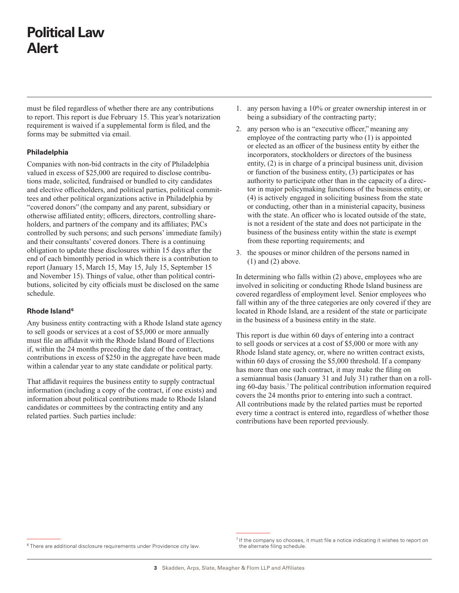# **Political Law Alert**

must be filed regardless of whether there are any contributions to report. This report is due February 15. This year's notarization requirement is waived if a supplemental form is filed, and the forms may be submitted via email.

### **Philadelphia**

Companies with non-bid contracts in the city of Philadelphia valued in excess of \$25,000 are required to disclose contributions made, solicited, fundraised or bundled to city candidates and elective officeholders, and political parties, political committees and other political organizations active in Philadelphia by "covered donors" (the company and any parent, subsidiary or otherwise affiliated entity; officers, directors, controlling shareholders, and partners of the company and its affiliates; PACs controlled by such persons; and such persons' immediate family) and their consultants' covered donors. There is a continuing obligation to update these disclosures within 15 days after the end of each bimonthly period in which there is a contribution to report (January 15, March 15, May 15, July 15, September 15 and November 15). Things of value, other than political contributions, solicited by city officials must be disclosed on the same schedule.

#### **Rhode Island6**

Any business entity contracting with a Rhode Island state agency to sell goods or services at a cost of \$5,000 or more annually must file an affidavit with the Rhode Island Board of Elections if, within the 24 months preceding the date of the contract, contributions in excess of \$250 in the aggregate have been made within a calendar year to any state candidate or political party.

That affidavit requires the business entity to supply contractual information (including a copy of the contract, if one exists) and information about political contributions made to Rhode Island candidates or committees by the contracting entity and any related parties. Such parties include:

- 1. any person having a 10% or greater ownership interest in or being a subsidiary of the contracting party;
- 2. any person who is an "executive officer," meaning any employee of the contracting party who (1) is appointed or elected as an officer of the business entity by either the incorporators, stockholders or directors of the business entity, (2) is in charge of a principal business unit, division or function of the business entity, (3) participates or has authority to participate other than in the capacity of a director in major policymaking functions of the business entity, or (4) is actively engaged in soliciting business from the state or conducting, other than in a ministerial capacity, business with the state. An officer who is located outside of the state, is not a resident of the state and does not participate in the business of the business entity within the state is exempt from these reporting requirements; and
- 3. the spouses or minor children of the persons named in  $(1)$  and  $(2)$  above.

In determining who falls within (2) above, employees who are involved in soliciting or conducting Rhode Island business are covered regardless of employment level. Senior employees who fall within any of the three categories are only covered if they are located in Rhode Island, are a resident of the state or participate in the business of a business entity in the state.

This report is due within 60 days of entering into a contract to sell goods or services at a cost of \$5,000 or more with any Rhode Island state agency, or, where no written contract exists, within 60 days of crossing the \$5,000 threshold. If a company has more than one such contract, it may make the filing on a semiannual basis (January 31 and July 31) rather than on a rolling 60-day basis.7The political contribution information required covers the 24 months prior to entering into such a contract. All contributions made by the related parties must be reported every time a contract is entered into, regardless of whether those contributions have been reported previously.

<sup>&</sup>lt;sup>6</sup> There are additional disclosure requirements under Providence city law.

 $<sup>7</sup>$  If the company so chooses, it must file a notice indicating it wishes to report on</sup> the alternate filing schedule.